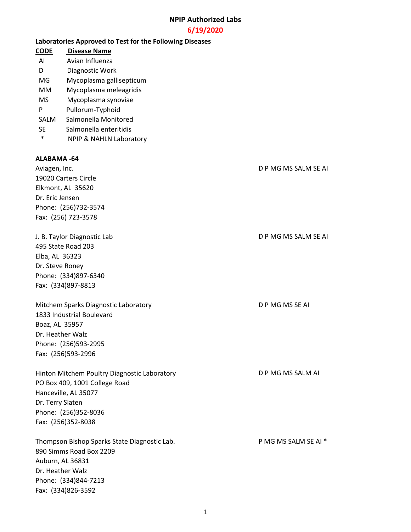#### **6/19/2020**

#### **Laboratories Approved to Test for the Following Diseases**

- **CODE Disease Name**
- AI Avian Influenza
- D Diagnostic Work
- MG Mycoplasma gallisepticum
- MM Mycoplasma meleagridis
- MS Mycoplasma synoviae
- P Pullorum-Typhoid
- SALM Salmonella Monitored
- SE Salmonella enteritidis
- \* NPIP & NAHLN Laboratory

#### **ALABAMA -64**

Aviagen, Inc. D P MG MS SALM SE AI 19020 Carters Circle Elkmont, AL 35620 Dr. Eric Jensen Phone: (256)732-3574 Fax: (256) 723-3578 J. B. Taylor Diagnostic Lab D. P MG MS SALM SE AI

495 State Road 203 Elba, AL 36323 Dr. Steve Roney Phone: (334)897-6340 Fax: (334)897-8813

Mitchem Sparks Diagnostic Laboratory D P MG MS SE AI 1833 Industrial Boulevard Boaz, AL 35957 Dr. Heather Walz Phone: (256)593-2995 Fax: (256)593-2996

Hinton Mitchem Poultry Diagnostic Laboratory **DRIM** D P MG MS SALM AI PO Box 409, 1001 College Road Hanceville, AL 35077 Dr. Terry Slaten Phone: (256)352-8036 Fax: (256)352-8038

Thompson Bishop Sparks State Diagnostic Lab. P MG MS SALM SE AI \* 890 Simms Road Box 2209 Auburn, AL 36831 Dr. Heather Walz Phone: (334)844-7213 Fax: (334)826-3592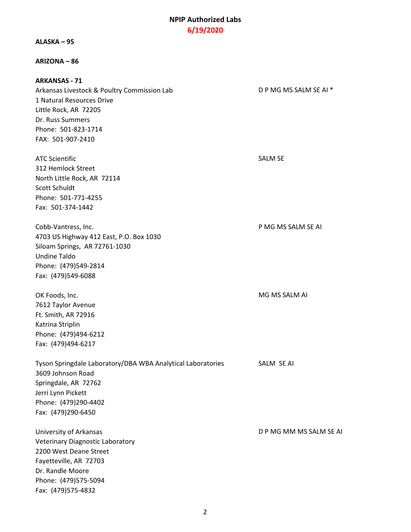#### **ALASKA – 95**

#### **ARIZONA – 86**

**ARKANSAS - 71** Arkansas Livestock & Poultry Commission Lab D P MG MS SALM SE AI \* 1 Natural Resources Drive Little Rock, AR 72205 Dr. Russ Summers Phone: 501-823-1714 FAX: 501-907-2410

ATC Scientific **SALM SE** 312 Hemlock Street North Little Rock, AR 72114 Scott Schuldt Phone: 501-771-4255 Fax: 501-374-1442

Cobb-Vantress, Inc. P MG MS SALM SE AI 4703 US Highway 412 East, P.O. Box 1030 Siloam Springs, AR 72761-1030 Undine Taldo Phone: (479)549-2814 Fax: (479)549-6088

OK Foods, Inc. Notice that the contract of the contract of the MG MS SALM AI 7612 Taylor Avenue Ft. Smith, AR 72916 Katrina Striplin Phone: (479)494-6212 Fax: (479)494-6217

Tyson Springdale Laboratory/DBA WBA Analytical Laboratories SALM SE AI 3609 Johnson Road Springdale, AR 72762 Jerri Lynn Pickett Phone: (479)290-4402 Fax: (479)290-6450

University of Arkansas **D P MG MM MS SALM SE AI** Veterinary Diagnostic Laboratory 2200 West Deane Street Fayetteville, AR 72703 Dr. Randle Moore Phone: (479)575-5094 Fax: (479)575-4832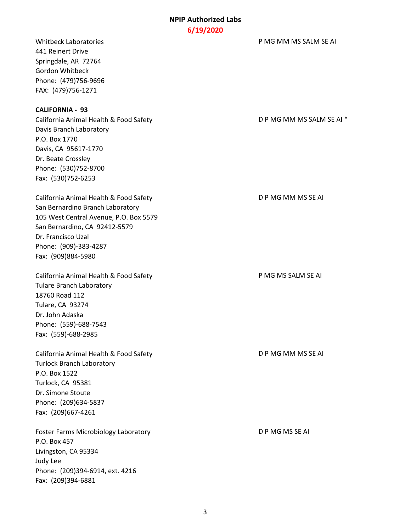441 Reinert Drive Springdale, AR 72764 Gordon Whitbeck Phone: (479)756-9696 FAX: (479)756-1271

#### **CALIFORNIA - 93**

California Animal Health & Food Safety **D** P MG MM MS SALM SE AI \* Davis Branch Laboratory P.O. Box 1770 Davis, CA 95617-1770 Dr. Beate Crossley Phone: (530)752-8700 Fax: (530)752-6253

California Animal Health & Food Safety D P MG MM MS SE AI San Bernardino Branch Laboratory 105 West Central Avenue, P.O. Box 5579 San Bernardino, CA 92412-5579 Dr. Francisco Uzal Phone: (909)-383-4287 Fax: (909)884-5980

California Animal Health & Food Safety P MG MS SALM SE AI Tulare Branch Laboratory 18760 Road 112 Tulare, CA 93274 Dr. John Adaska Phone: (559)-688-7543 Fax: (559)-688-2985

California Animal Health & Food Safety D P MG MM MS SE AI Turlock Branch Laboratory P.O. Box 1522 Turlock, CA 95381 Dr. Simone Stoute Phone: (209)634-5837 Fax: (209)667-4261

Foster Farms Microbiology Laboratory **Example 20 and SOSY** D P MG MS SE AI P.O. Box 457 Livingston, CA 95334 Judy Lee Phone: (209)394-6914, ext. 4216 Fax: (209)394-6881

Whitbeck Laboratories **PMG MM MS SALM SE AI**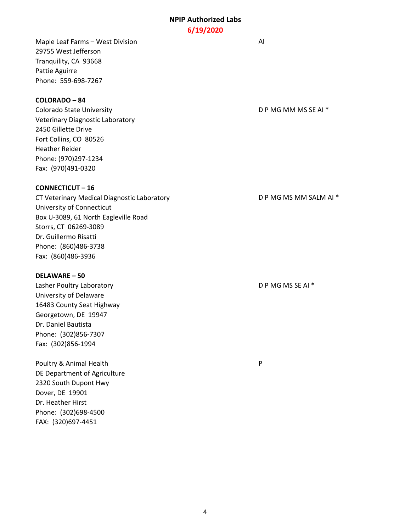Maple Leaf Farms – West Division AI 29755 West Jefferson Tranquility, CA 93668 Pattie Aguirre Phone: 559-698-7267

## **COLORADO – 84**

Colorado State University Colorado State University Veterinary Diagnostic Laboratory 2450 Gillette Drive Fort Collins, CO 80526 Heather Reider Phone: (970)297-1234 Fax: (970)491-0320

#### **CONNECTICUT – 16**

CT Veterinary Medical Diagnostic Laboratory **D P MG MS MM SALM AI \*** University of Connecticut Box U-3089, 61 North Eagleville Road Storrs, CT 06269-3089 Dr. Guillermo Risatti Phone: (860)486-3738 Fax: (860)486-3936

#### **DELAWARE – 50**

Lasher Poultry Laboratory **D P MG MS SE AI \*** University of Delaware 16483 County Seat Highway Georgetown, DE 19947 Dr. Daniel Bautista Phone: (302)856-7307 Fax: (302)856-1994

Poultry & Animal Health **Provides** P DE Department of Agriculture 2320 South Dupont Hwy Dover, DE 19901 Dr. Heather Hirst Phone: (302)698-4500 FAX: (320)697-4451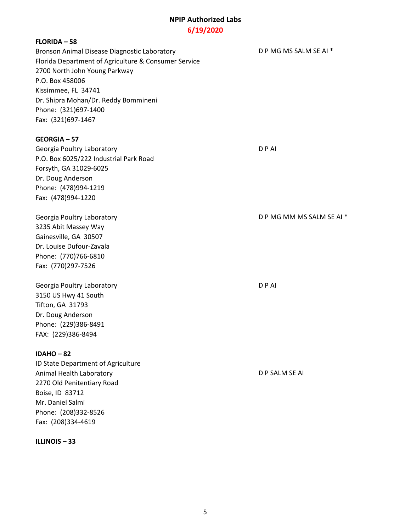## **FLORIDA – 58**

Bronson Animal Disease Diagnostic Laboratory **DRIM COVER 1999** D P MG MS SALM SE AI \* Florida Department of Agriculture & Consumer Service 2700 North John Young Parkway P.O. Box 458006 Kissimmee, FL 34741 Dr. Shipra Mohan/Dr. Reddy Bommineni Phone: (321)697-1400 Fax: (321)697-1467

#### **GEORGIA – 57**

Georgia Poultry Laboratory **D** P AI P.O. Box 6025/222 Industrial Park Road Forsyth, GA 31029-6025 Dr. Doug Anderson Phone: (478)994-1219 Fax: (478)994-1220

3235 Abit Massey Way Gainesville, GA 30507 Dr. Louise Dufour-Zavala Phone: (770)766-6810 Fax: (770)297-7526

Georgia Poultry Laboratory **D** P AI 3150 US Hwy 41 South Tifton, GA 31793 Dr. Doug Anderson Phone: (229)386-8491 FAX: (229)386-8494

#### **IDAHO – 82**

ID State Department of Agriculture Animal Health Laboratory **Animal Health Laboratory D P SALM SE AI** 2270 Old Penitentiary Road Boise, ID 83712 Mr. Daniel Salmi Phone: (208)332-8526 Fax: (208)334-4619

**ILLINOIS – 33**

Georgia Poultry Laboratory **D** P MG MM MS SALM SE AI \*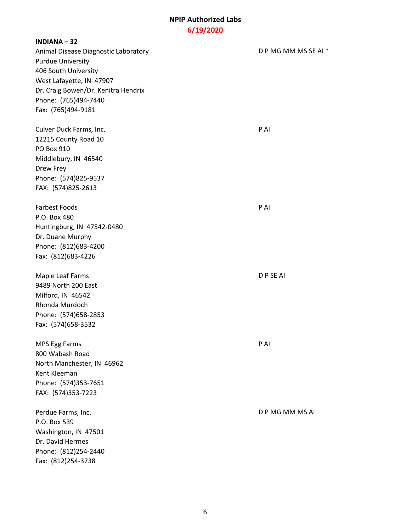**INDIANA – 32** Animal Disease Diagnostic Laboratory **D** P MG MM MS SE AI \* Purdue University 406 South University West Lafayette, IN 47907 Dr. Craig Bowen/Dr. Kenitra Hendrix Phone: (765)494-7440 Fax: (765)494-9181 Culver Duck Farms, Inc. **PAI** 12215 County Road 10 PO Box 910 Middlebury, IN 46540 Drew Frey Phone: (574)825-9537 FAX: (574)825-2613 Farbest Foods **P AI** P.O. Box 480 Huntingburg, IN 47542-0480 Dr. Duane Murphy Phone: (812)683-4200 Fax: (812)683-4226 Maple Leaf Farms D P SE AI 9489 North 200 East Milford, IN 46542 Rhonda Murdoch Phone: (574)658-2853 Fax: (574)658-3532 MPS Egg Farms P AI 800 Wabash Road North Manchester, IN 46962 Kent Kleeman Phone: (574)353-7651 FAX: (574)353-7223 Perdue Farms, Inc. **DP MG MM MS AI** P.O. Box 539 Washington, IN 47501 Dr. David Hermes Phone: (812)254-2440 Fax: (812)254-3738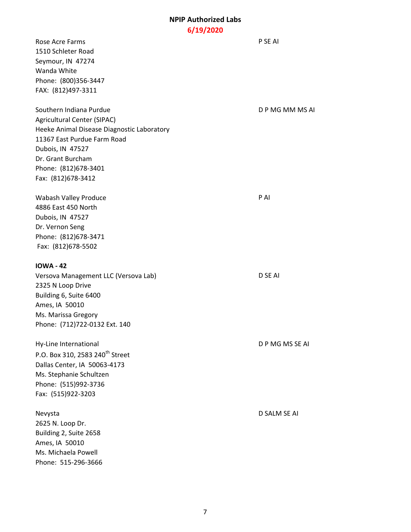# **6/19/2020**

| Rose Acre Farms<br>1510 Schleter Road<br>Seymour, IN 47274<br>Wanda White<br>Phone: (800)356-3447<br>FAX: (812)497-3311                                                                                                           | P SE AI         |
|-----------------------------------------------------------------------------------------------------------------------------------------------------------------------------------------------------------------------------------|-----------------|
| Southern Indiana Purdue<br><b>Agricultural Center (SIPAC)</b><br>Heeke Animal Disease Diagnostic Laboratory<br>11367 East Purdue Farm Road<br>Dubois, IN 47527<br>Dr. Grant Burcham<br>Phone: (812)678-3401<br>Fax: (812)678-3412 | DPMGMMMSAI      |
| Wabash Valley Produce<br>4886 East 450 North<br>Dubois, IN 47527<br>Dr. Vernon Seng<br>Phone: (812)678-3471<br>Fax: (812)678-5502                                                                                                 | P AI            |
| <b>IOWA - 42</b><br>Versova Management LLC (Versova Lab)<br>2325 N Loop Drive<br>Building 6, Suite 6400<br>Ames, IA 50010<br>Ms. Marissa Gregory<br>Phone: (712)722-0132 Ext. 140                                                 | D SE AI         |
| Hy-Line International<br>P.O. Box 310, 2583 240 <sup>th</sup> Street<br>Dallas Center, IA 50063-4173<br>Ms. Stephanie Schultzen<br>Phone: (515)992-3736<br>Fax: (515)922-3203                                                     | D P MG MS SE AI |
| Nevysta<br>2625 N. Loop Dr.<br>Building 2, Suite 2658<br>Ames, IA 50010<br>Ms. Michaela Powell<br>Phone: 515-296-3666                                                                                                             | D SALM SE AI    |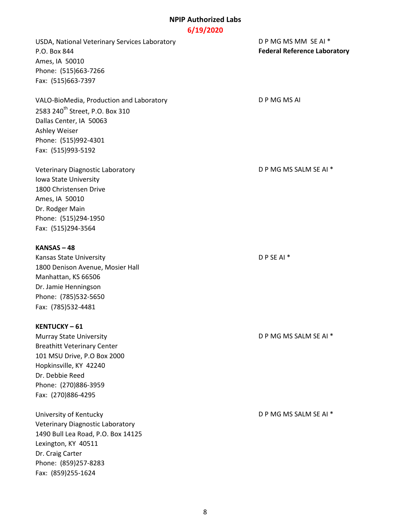USDA, National Veterinary Services Laboratory D P MG MS MM SE AI \* P.O. Box 844 **Federal Reference Laboratory** Ames, IA 50010 Phone: (515)663-7266 Fax: (515)663-7397 VALO-BioMedia, Production and Laboratory D P MG MS AI 2583 240<sup>th</sup> Street, P.O. Box 310 Dallas Center, IA 50063 Ashley Weiser Phone: (515)992-4301 Fax: (515)993-5192 Veterinary Diagnostic Laboratory Diagnostic Bulletinary D P MG MS SALM SE AI \* Iowa State University 1800 Christensen Drive Ames, IA 50010 Dr. Rodger Main Phone: (515)294-1950 Fax: (515)294-3564 **KANSAS – 48** Kansas State University **Example 20** P SE AI \* 1800 Denison Avenue, Mosier Hall Manhattan, KS 66506 Dr. Jamie Henningson Phone: (785)532-5650 Fax: (785)532-4481 **KENTUCKY – 61** Murray State University **D** P MG MS SALM SE AI \* Breathitt Veterinary Center 101 MSU Drive, P.O Box 2000 Hopkinsville, KY 42240 Dr. Debbie Reed Phone: (270)886-3959 Fax: (270)886-4295 University of Kentucky **D** P MG MS SALM SE AI \* Veterinary Diagnostic Laboratory 1490 Bull Lea Road, P.O. Box 14125 Lexington, KY 40511 Dr. Craig Carter Phone: (859)257-8283 Fax: (859)255-1624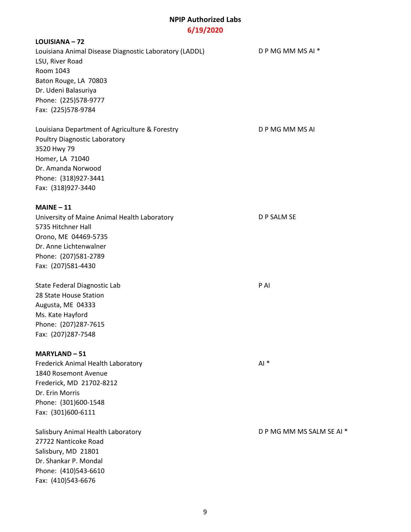# **LOUISIANA – 72** Louisiana Animal Disease Diagnostic Laboratory (LADDL) DP MG MM MS AI \* LSU, River Road Room 1043 Baton Rouge, LA 70803 Dr. Udeni Balasuriya Phone: (225)578-9777 Fax: (225)578-9784 Louisiana Department of Agriculture & Forestry D P MG MM MS AI Poultry Diagnostic Laboratory 3520 Hwy 79 Homer, LA 71040 Dr. Amanda Norwood Phone: (318)927-3441 Fax: (318)927-3440 **MAINE – 11** University of Maine Animal Health Laboratory **D P SALM SE** 5735 Hitchner Hall Orono, ME 04469-5735 Dr. Anne Lichtenwalner Phone: (207)581-2789 Fax: (207)581-4430 State Federal Diagnostic Lab P AI 28 State House Station Augusta, ME 04333 Ms. Kate Hayford Phone: (207)287-7615 Fax: (207)287-7548 **MARYLAND – 51** Frederick Animal Health Laboratory **All and Australian Animal All \*** All \* 1840 Rosemont Avenue Frederick, MD 21702-8212 Dr. Erin Morris Phone: (301)600-1548 Fax: (301)600-6111 Salisbury Animal Health Laboratory **D** P MG MM MS SALM SE AI \* 27722 Nanticoke Road Salisbury, MD 21801 Dr. Shankar P. Mondal Phone: (410)543-6610 Fax: (410)543-6676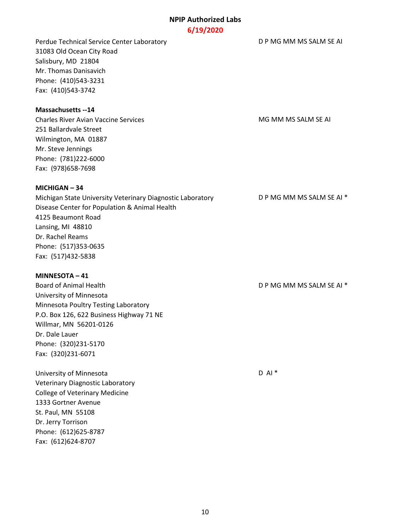# **6/19/2020**

Perdue Technical Service Center Laboratory **DEMIC MENUSY CONTAINER AT A PERITOR** D P MG MM MS SALM SE AI 31083 Old Ocean City Road Salisbury, MD 21804 Mr. Thomas Danisavich Phone: (410)543-3231 Fax: (410)543-3742

#### **Massachusetts --14**

Charles River Avian Vaccine Services MG MG MM MS SALM SE AI 251 Ballardvale Street Wilmington, MA 01887 Mr. Steve Jennings Phone: (781)222-6000 Fax: (978)658-7698

#### **MICHIGAN – 34**

Michigan State University Veterinary Diagnostic Laboratory **DRIM INCOLOGY DIA PER AL 1998** ON MS SALM SE AI \* Disease Center for Population & Animal Health 4125 Beaumont Road Lansing, MI 48810 Dr. Rachel Reams Phone: (517)353-0635 Fax: (517)432-5838

#### **MINNESOTA – 41**

Board of Animal Health **D** P MG MM MS SALM SE AI \* University of Minnesota Minnesota Poultry Testing Laboratory P.O. Box 126, 622 Business Highway 71 NE Willmar, MN 56201-0126 Dr. Dale Lauer Phone: (320)231-5170 Fax: (320)231-6071

University of Minnesota D AI \* D AI \* Veterinary Diagnostic Laboratory College of Veterinary Medicine 1333 Gortner Avenue St. Paul, MN 55108 Dr. Jerry Torrison Phone: (612)625-8787 Fax: (612)624-8707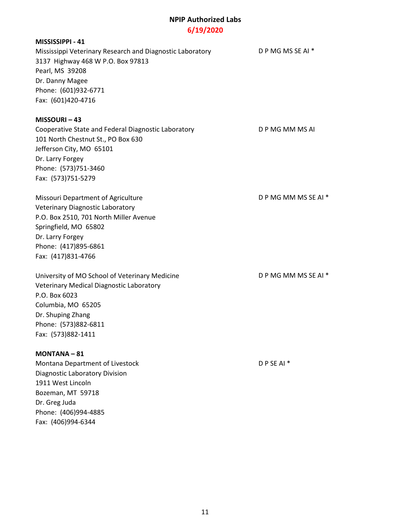# **6/19/2020**

| MISSISSIPPI - 41                                          |                     |
|-----------------------------------------------------------|---------------------|
| Mississippi Veterinary Research and Diagnostic Laboratory | D P MG MS SE AI *   |
| 3137 Highway 468 W P.O. Box 97813                         |                     |
| Pearl, MS 39208                                           |                     |
| Dr. Danny Magee                                           |                     |
| Phone: (601)932-6771                                      |                     |
| Fax: (601)420-4716                                        |                     |
| MISSOURI-43                                               |                     |
| Cooperative State and Federal Diagnostic Laboratory       | D P MG MM MS AI     |
| 101 North Chestnut St., PO Box 630                        |                     |
| Jefferson City, MO 65101                                  |                     |
| Dr. Larry Forgey                                          |                     |
| Phone: (573)751-3460                                      |                     |
| Fax: (573)751-5279                                        |                     |
| Missouri Department of Agriculture                        | DPMGMMMSSEAI*       |
| <b>Veterinary Diagnostic Laboratory</b>                   |                     |
| P.O. Box 2510, 701 North Miller Avenue                    |                     |
| Springfield, MO 65802                                     |                     |
| Dr. Larry Forgey                                          |                     |
| Phone: (417)895-6861                                      |                     |
| Fax: (417)831-4766                                        |                     |
| University of MO School of Veterinary Medicine            | DPMGMMMSSEAI*       |
| Veterinary Medical Diagnostic Laboratory                  |                     |
| P.O. Box 6023                                             |                     |
| Columbia, MO 65205                                        |                     |
| Dr. Shuping Zhang                                         |                     |
| Phone: (573)882-6811                                      |                     |
| Fax: (573)882-1411                                        |                     |
| $MONTANA - 81$                                            |                     |
| Montana Department of Livestock                           | DPSEAI <sup>*</sup> |
| Diagnostic Laboratory Division                            |                     |
| 1911 West Lincoln                                         |                     |
| Bozeman, MT 59718                                         |                     |
| Dr. Greg Juda                                             |                     |
| Phone: (406)994-4885                                      |                     |
| Fax: (406)994-6344                                        |                     |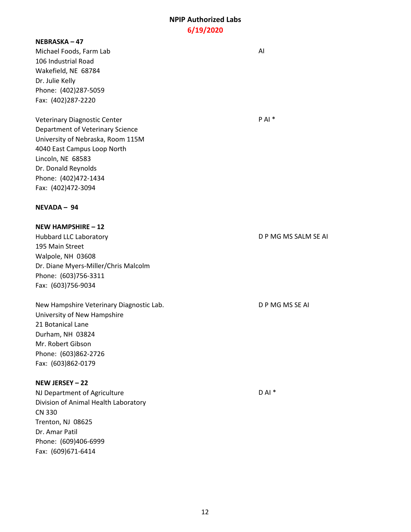#### **NEBRASKA – 47**

Michael Foods, Farm Lab AI 106 Industrial Road Wakefield, NE 68784 Dr. Julie Kelly Phone: (402)287-5059 Fax: (402)287-2220

Veterinary Diagnostic Center **PAI** \* P AI \* Department of Veterinary Science University of Nebraska, Room 115M 4040 East Campus Loop North Lincoln, NE 68583 Dr. Donald Reynolds Phone: (402)472-1434 Fax: (402)472-3094

#### **NEVADA – 94**

**NEW HAMPSHIRE – 12** Hubbard LLC Laboratory **Example 20 and 20 and 20 and 20 and 20 and 20 and 20 and 20 and 20 and 20 and 20 and 20 and 20 and 20 and 20 and 20 and 20 and 20 and 20 and 20 and 20 and 20 and 20 and 20 and 20 and 20 and 20 and 2** 195 Main Street Walpole, NH 03608 Dr. Diane Myers-Miller/Chris Malcolm Phone: (603)756-3311 Fax: (603)756-9034

New Hampshire Veterinary Diagnostic Lab. D P MG MS SE AI University of New Hampshire 21 Botanical Lane Durham, NH 03824 Mr. Robert Gibson Phone: (603)862-2726 Fax: (603)862-0179

## **NEW JERSEY – 22**

NJ Department of Agriculture D AI \* D AI \* Division of Animal Health Laboratory CN 330 Trenton, NJ 08625 Dr. Amar Patil Phone: (609)406-6999 Fax: (609)671-6414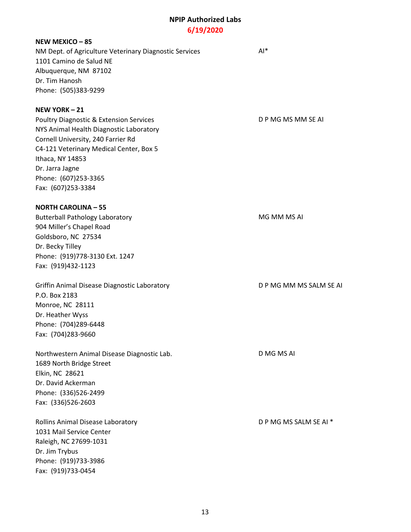#### **NEW MEXICO – 85**

NM Dept. of Agriculture Veterinary Diagnostic Services AI\* 1101 Camino de Salud NE Albuquerque, NM 87102 Dr. Tim Hanosh Phone: (505)383-9299

### **NEW YORK – 21**

Poultry Diagnostic & Extension Services D P MG MS MM SE AI NYS Animal Health Diagnostic Laboratory Cornell University, 240 Farrier Rd C4-121 Veterinary Medical Center, Box 5 Ithaca, NY 14853 Dr. Jarra Jagne Phone: (607)253-3365 Fax: (607)253-3384

### **NORTH CAROLINA – 55**

Butterball Pathology Laboratory MG MM MS AI 904 Miller's Chapel Road Goldsboro, NC 27534 Dr. Becky Tilley Phone: (919)778-3130 Ext. 1247 Fax: (919)432-1123

Griffin Animal Disease Diagnostic Laboratory **DEMIC MANUS AND PILA CONTAINER AT A** D P MG MM MS SALM SE AI P.O. Box 2183 Monroe, NC 28111 Dr. Heather Wyss Phone: (704)289-6448 Fax: (704)283-9660

Northwestern Animal Disease Diagnostic Lab. D MG MS AI 1689 North Bridge Street Elkin, NC 28621 Dr. David Ackerman Phone: (336)526-2499 Fax: (336)526-2603

Rollins Animal Disease Laboratory **D** P MG MS SALM SE AI \* 1031 Mail Service Center Raleigh, NC 27699-1031 Dr. Jim Trybus Phone: (919)733-3986 Fax: (919)733-0454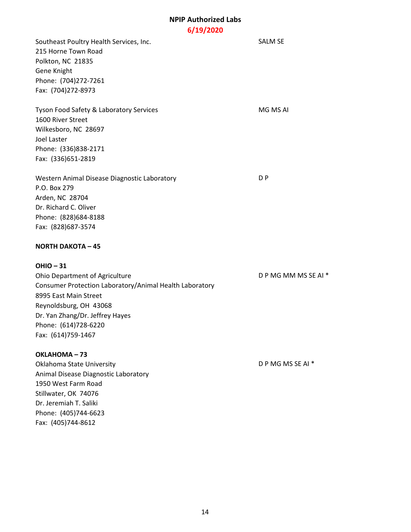Southeast Poultry Health Services, Inc. SALM SE 215 Horne Town Road Polkton, NC 21835 Gene Knight Phone: (704)272-7261 Fax: (704)272-8973 Tyson Food Safety & Laboratory Services MG MS AI 1600 River Street Wilkesboro, NC 28697 Joel Laster Phone: (336)838-2171 Fax: (336)651-2819 Western Animal Disease Diagnostic Laboratory **DIMENSION CONVENTS** P.O. Box 279 Arden, NC 28704 Dr. Richard C. Oliver Phone: (828)684-8188 Fax: (828)687-3574 **NORTH DAKOTA – 45 OHIO – 31** Ohio Department of Agriculture D P MG MM MS SE AI \* Consumer Protection Laboratory/Animal Health Laboratory 8995 East Main Street Reynoldsburg, OH 43068 Dr. Yan Zhang/Dr. Jeffrey Hayes Phone: (614)728-6220 Fax: (614)759-1467 **OKLAHOMA – 73**

Oklahoma State University D P MG MS SE AI \* Animal Disease Diagnostic Laboratory 1950 West Farm Road Stillwater, OK 74076 Dr. Jeremiah T. Saliki Phone: (405)744-6623 Fax: (405)744-8612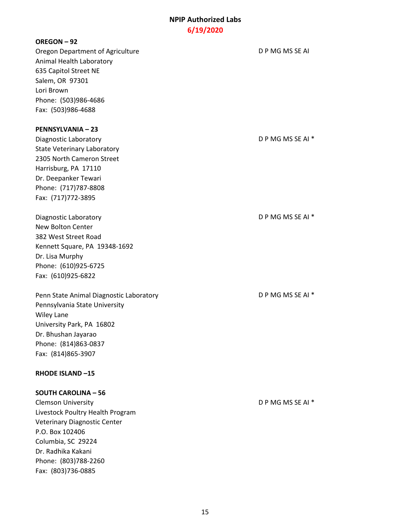#### **OREGON – 92**

Oregon Department of Agriculture **D** P MG MS SE AI Animal Health Laboratory 635 Capitol Street NE Salem, OR 97301 Lori Brown Phone: (503)986-4686 Fax: (503)986-4688

#### **PENNSYLVANIA – 23**

- Diagnostic Laboratory **Diagnostic Laboratory D** P MG MS SE AI \* State Veterinary Laboratory 2305 North Cameron Street Harrisburg, PA 17110 Dr. Deepanker Tewari Phone: (717)787-8808 Fax: (717)772-3895
- Diagnostic Laboratory **D** P MG MS SE AI \* New Bolton Center 382 West Street Road Kennett Square, PA 19348-1692 Dr. Lisa Murphy Phone: (610)925-6725 Fax: (610)925-6822

Penn State Animal Diagnostic Laboratory D P MG MS SE AI \* Pennsylvania State University Wiley Lane University Park, PA 16802 Dr. Bhushan Jayarao Phone: (814)863-0837 Fax: (814)865-3907

#### **RHODE ISLAND –15**

#### **SOUTH CAROLINA – 56**

Clemson University D P MG MS SE AI \* Livestock Poultry Health Program Veterinary Diagnostic Center P.O. Box 102406 Columbia, SC 29224 Dr. Radhika Kakani Phone: (803)788-2260 Fax: (803)736-0885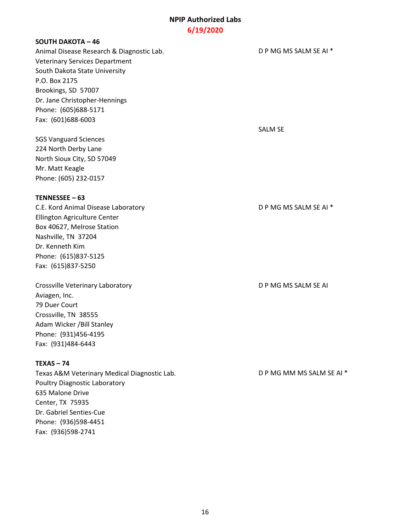### **SOUTH DAKOTA – 46**

Animal Disease Research & Diagnostic Lab. D P MG MS SALM SE AI \* Veterinary Services Department South Dakota State University P.O. Box 2175 Brookings, SD 57007 Dr. Jane Christopher-Hennings Phone: (605)688-5171 Fax: (601)688-6003

SGS Vanguard Sciences 224 North Derby Lane North Sioux City, SD 57049 Mr. Matt Keagle Phone: (605) 232-0157

#### **TENNESSEE – 63**

C.E. Kord Animal Disease Laboratory D P MG MS SALM SE AI \* Ellington Agriculture Center Box 40627, Melrose Station Nashville, TN 37204 Dr. Kenneth Kim Phone: (615)837-5125 Fax: (615)837-5250

Crossville Veterinary Laboratory **D P MG MS SALM SE AI** Aviagen, Inc. 79 Duer Court Crossville, TN 38555 Adam Wicker /Bill Stanley Phone: (931)456-4195 Fax: (931)484-6443

# **TEXAS – 74**

Texas A&M Veterinary Medical Diagnostic Lab. D P MG MM MS SALM SE AI \* Poultry Diagnostic Laboratory 635 Malone Drive Center, TX 75935 Dr. Gabriel Senties-Cue Phone: (936)598-4451 Fax: (936)598-2741

SALM SE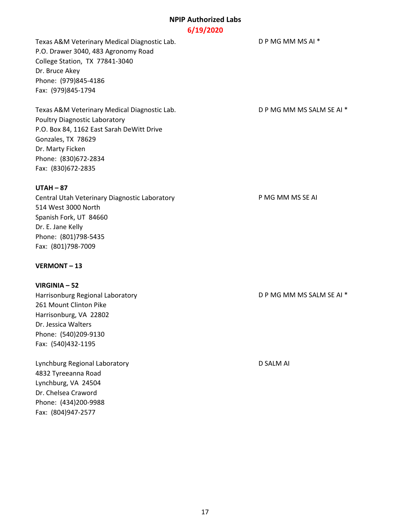Texas A&M Veterinary Medical Diagnostic Lab. D P MG MM MS AI \* P.O. Drawer 3040, 483 Agronomy Road College Station, TX 77841-3040 Dr. Bruce Akey Phone: (979)845-4186 Fax: (979)845-1794

Texas A&M Veterinary Medical Diagnostic Lab. D P MG MM MS SALM SE AI \* Poultry Diagnostic Laboratory P.O. Box 84, 1162 East Sarah DeWitt Drive Gonzales, TX 78629 Dr. Marty Ficken Phone: (830)672-2834 Fax: (830)672-2835

## **UTAH – 87**

Central Utah Veterinary Diagnostic Laboratory **Exercise 2 Canadian P MG MM MS SE AI** 514 West 3000 North Spanish Fork, UT 84660 Dr. E. Jane Kelly Phone: (801)798-5435 Fax: (801)798-7009

# **VERMONT – 13**

**VIRGINIA – 52**

261 Mount Clinton Pike Harrisonburg, VA 22802 Dr. Jessica Walters Phone: (540)209-9130 Fax: (540)432-1195

Lynchburg Regional Laboratory D SALM AI 4832 Tyreeanna Road Lynchburg, VA 24504 Dr. Chelsea Craword Phone: (434)200-9988 Fax: (804)947-2577

Harrisonburg Regional Laboratory **Exercise 2018** D P MG MM MS SALM SE AI \*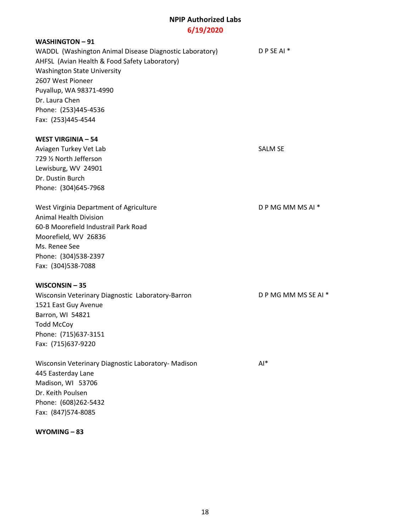### **WASHINGTON – 91**

WADDL (Washington Animal Disease Diagnostic Laboratory) DP SE AI \* AHFSL (Avian Health & Food Safety Laboratory) Washington State University 2607 West Pioneer Puyallup, WA 98371-4990 Dr. Laura Chen Phone: (253)445-4536 Fax: (253)445-4544

#### **WEST VIRGINIA – 54**

Aviagen Turkey Vet Lab SALM SE 729 ½ North Jefferson Lewisburg, WV 24901 Dr. Dustin Burch Phone: (304)645-7968

West Virginia Department of Agriculture **D** P MG MM MS AI \* Animal Health Division 60-B Moorefield Industrail Park Road Moorefield, WV 26836 Ms. Renee See Phone: (304)538-2397 Fax: (304)538-7088

#### **WISCONSIN – 35**

Wisconsin Veterinary Diagnostic Laboratory-Barron D P MG MM MS SE AI \* 1521 East Guy Avenue Barron, WI 54821 Todd McCoy Phone: (715)637-3151 Fax: (715)637-9220

Wisconsin Veterinary Diagnostic Laboratory- Madison AI\* 445 Easterday Lane Madison, WI 53706 Dr. Keith Poulsen Phone: (608)262-5432 Fax: (847)574-8085

#### **WYOMING – 83**